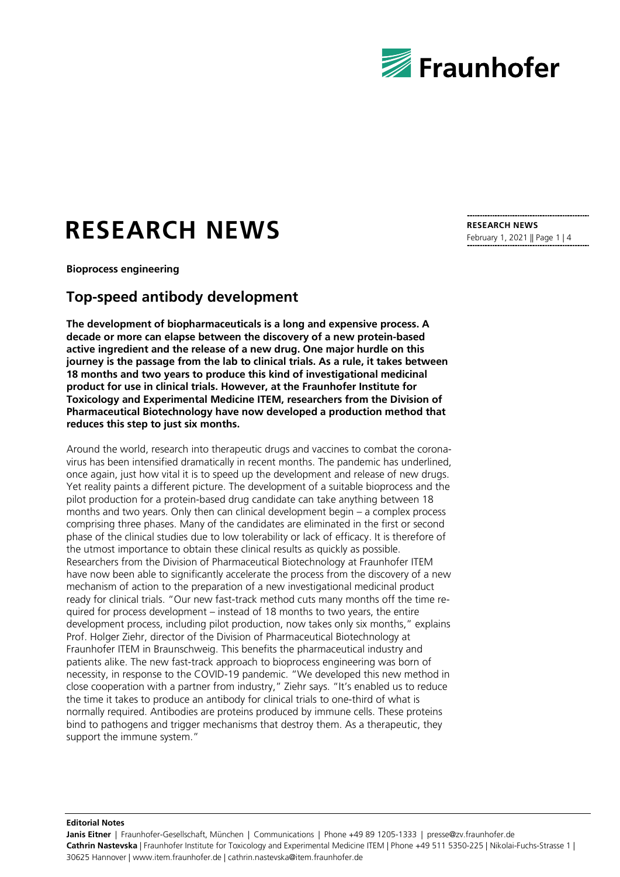

# **RESEARCH NEWS**

**Bioprocess engineering**

## **Top-speed antibody development**

**The development of biopharmaceuticals is a long and expensive process. A decade or more can elapse between the discovery of a new protein-based active ingredient and the release of a new drug. One major hurdle on this journey is the passage from the lab to clinical trials. As a rule, it takes between 18 months and two years to produce this kind of investigational medicinal product for use in clinical trials. However, at the Fraunhofer Institute for Toxicology and Experimental Medicine ITEM, researchers from the Division of Pharmaceutical Biotechnology have now developed a production method that reduces this step to just six months.**

Around the world, research into therapeutic drugs and vaccines to combat the coronavirus has been intensified dramatically in recent months. The pandemic has underlined, once again, just how vital it is to speed up the development and release of new drugs. Yet reality paints a different picture. The development of a suitable bioprocess and the pilot production for a protein-based drug candidate can take anything between 18 months and two years. Only then can clinical development begin – a complex process comprising three phases. Many of the candidates are eliminated in the first or second phase of the clinical studies due to low tolerability or lack of efficacy. It is therefore of the utmost importance to obtain these clinical results as quickly as possible. Researchers from the Division of Pharmaceutical Biotechnology at Fraunhofer ITEM have now been able to significantly accelerate the process from the discovery of a new mechanism of action to the preparation of a new investigational medicinal product ready for clinical trials. "Our new fast-track method cuts many months off the time required for process development – instead of 18 months to two years, the entire development process, including pilot production, now takes only six months," explains Prof. Holger Ziehr, director of the Division of Pharmaceutical Biotechnology at Fraunhofer ITEM in Braunschweig. This benefits the pharmaceutical industry and patients alike. The new fast-track approach to bioprocess engineering was born of necessity, in response to the COVID-19 pandemic. "We developed this new method in close cooperation with a partner from industry," Ziehr says. "It's enabled us to reduce the time it takes to produce an antibody for clinical trials to one-third of what is normally required. Antibodies are proteins produced by immune cells. These proteins bind to pathogens and trigger mechanisms that destroy them. As a therapeutic, they support the immune system."

**RESEARCH NEWS** February 1, 2021 || Page 1 | 4

**Editorial Notes**

Janis Eitner | Fraunhofer-Gesellschaft, München | Communications | Phone +49 89 1205-1333 | presse@zv.fraunhofer.de **Cathrin Nastevska** | Fraunhofer Institute for Toxicology and Experimental Medicine ITEM | Phone +49 511 5350-225 | Nikolai-Fuchs-Strasse 1 | 30625 Hannover | www.item.fraunhofer.de | cathrin.nastevska@item.fraunhofer.de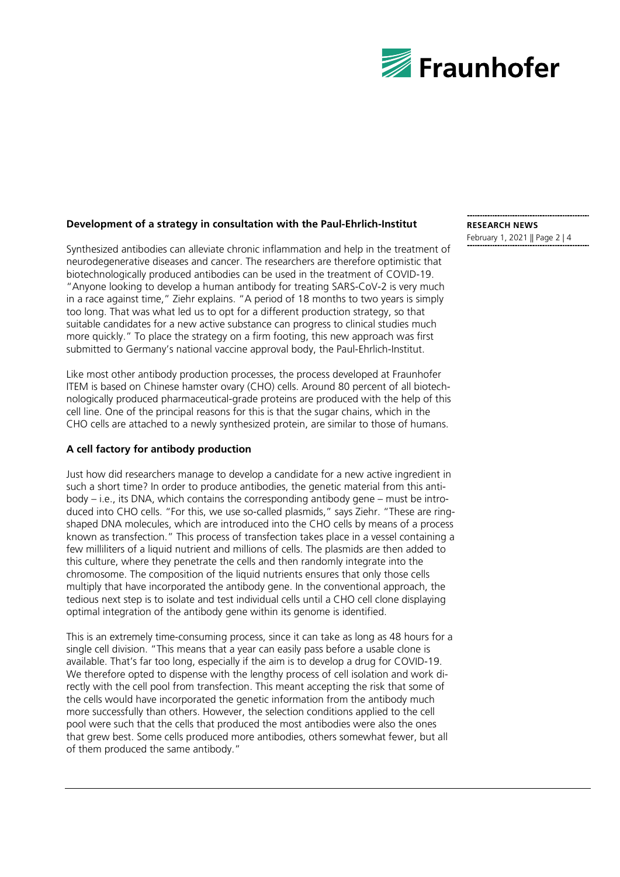

#### **Development of a strategy in consultation with the Paul-Ehrlich-Institut**

Synthesized antibodies can alleviate chronic inflammation and help in the treatment of neurodegenerative diseases and cancer. The researchers are therefore optimistic that biotechnologically produced antibodies can be used in the treatment of COVID-19. "Anyone looking to develop a human antibody for treating SARS-CoV-2 is very much in a race against time," Ziehr explains. "A period of 18 months to two years is simply too long. That was what led us to opt for a different production strategy, so that suitable candidates for a new active substance can progress to clinical studies much more quickly." To place the strategy on a firm footing, this new approach was first submitted to Germany's national vaccine approval body, the Paul-Ehrlich-Institut.

Like most other antibody production processes, the process developed at Fraunhofer ITEM is based on Chinese hamster ovary (CHO) cells. Around 80 percent of all biotechnologically produced pharmaceutical-grade proteins are produced with the help of this cell line. One of the principal reasons for this is that the sugar chains, which in the CHO cells are attached to a newly synthesized protein, are similar to those of humans.

#### **A cell factory for antibody production**

Just how did researchers manage to develop a candidate for a new active ingredient in such a short time? In order to produce antibodies, the genetic material from this antibody – i.e., its DNA, which contains the corresponding antibody gene – must be introduced into CHO cells. "For this, we use so-called plasmids," says Ziehr. "These are ringshaped DNA molecules, which are introduced into the CHO cells by means of a process known as transfection." This process of transfection takes place in a vessel containing a few milliliters of a liquid nutrient and millions of cells. The plasmids are then added to this culture, where they penetrate the cells and then randomly integrate into the chromosome. The composition of the liquid nutrients ensures that only those cells multiply that have incorporated the antibody gene. In the conventional approach, the tedious next step is to isolate and test individual cells until a CHO cell clone displaying optimal integration of the antibody gene within its genome is identified.

This is an extremely time-consuming process, since it can take as long as 48 hours for a single cell division. "This means that a year can easily pass before a usable clone is available. That's far too long, especially if the aim is to develop a drug for COVID-19. We therefore opted to dispense with the lengthy process of cell isolation and work directly with the cell pool from transfection. This meant accepting the risk that some of the cells would have incorporated the genetic information from the antibody much more successfully than others. However, the selection conditions applied to the cell pool were such that the cells that produced the most antibodies were also the ones that grew best. Some cells produced more antibodies, others somewhat fewer, but all of them produced the same antibody."

#### **RESEARCH NEWS** February 1, 2021 || Page 2 | 4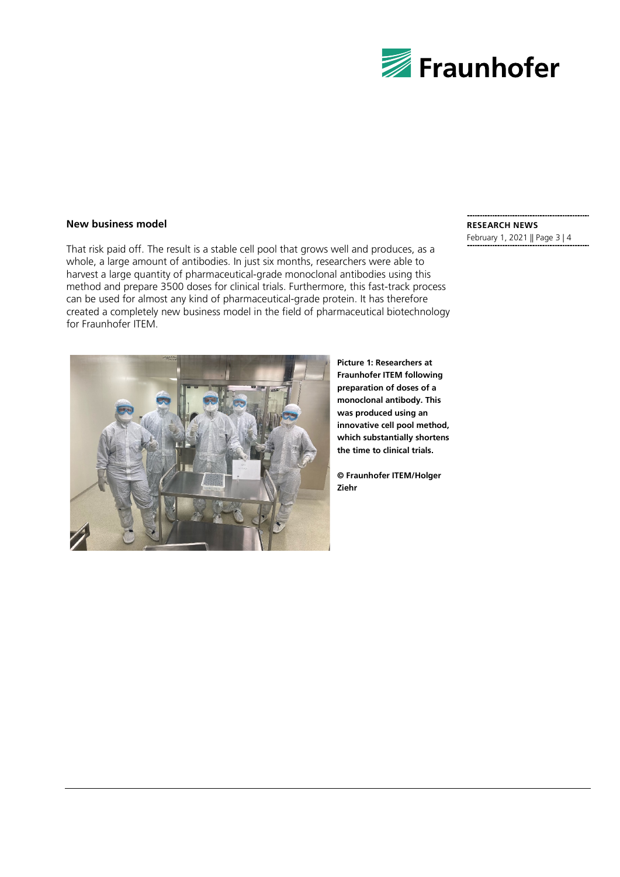

#### **New business model**

That risk paid off. The result is a stable cell pool that grows well and produces, as a whole, a large amount of antibodies. In just six months, researchers were able to harvest a large quantity of pharmaceutical-grade monoclonal antibodies using this method and prepare 3500 doses for clinical trials. Furthermore, this fast-track process can be used for almost any kind of pharmaceutical-grade protein. It has therefore created a completely new business model in the field of pharmaceutical biotechnology for Fraunhofer ITEM.



**Picture 1: Researchers at Fraunhofer ITEM following preparation of doses of a monoclonal antibody. This was produced using an innovative cell pool method, which substantially shortens the time to clinical trials.**

**© Fraunhofer ITEM/Holger Ziehr**

#### **RESEARCH NEWS**

February 1, 2021 || Page 3 | 4